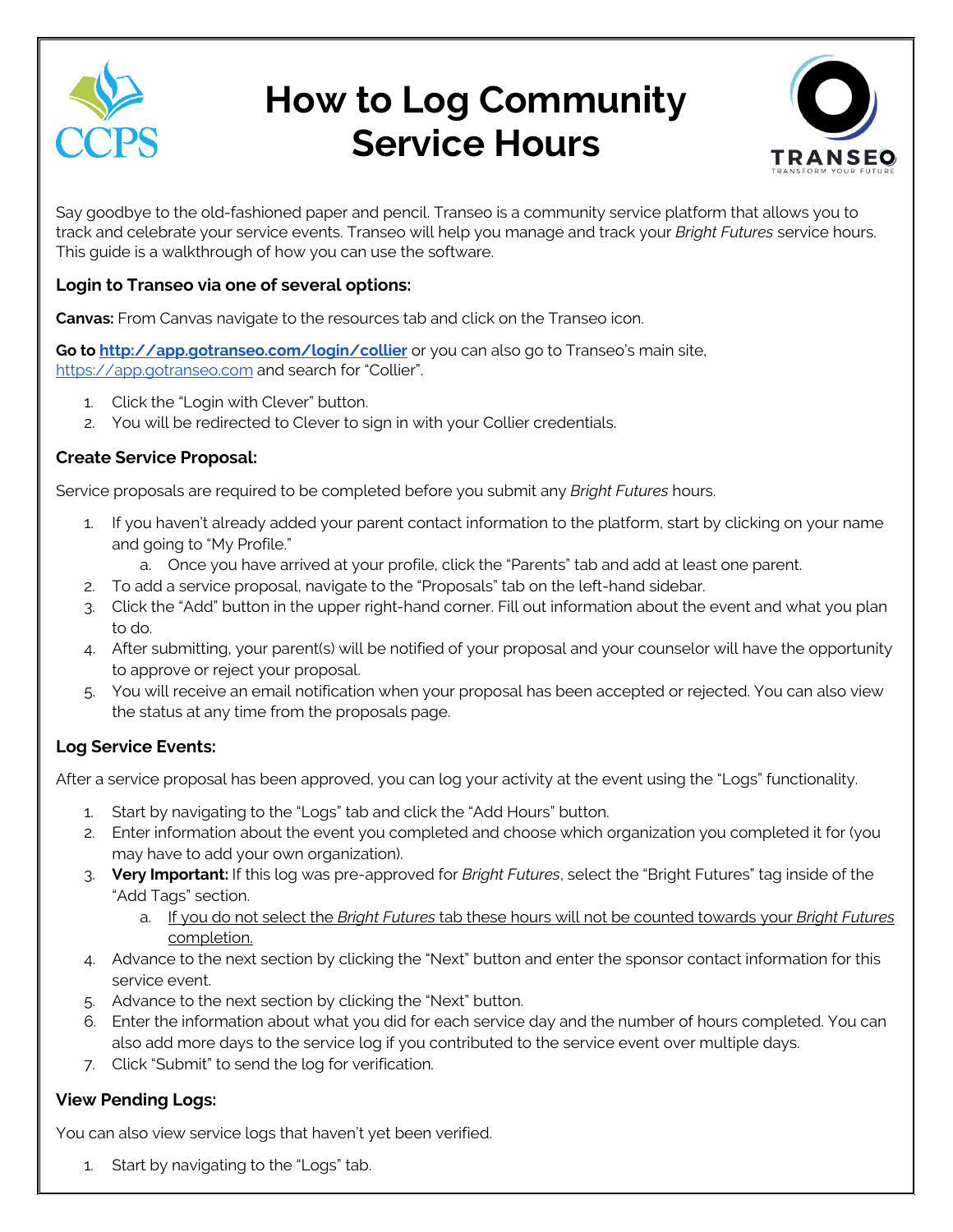

# **How to Log Community Service Hours**



Say goodbye to the old-fashioned paper and pencil. Transeo is a community service platform that allows you to track and celebrate your service events. Transeo will help you manage and track your *Bright Futures* service hours. This guide is a walkthrough of how you can use the software.

## **Login to Transeo via one of several options:**

**Canvas:** From Canvas navigate to the resources tab and click on the Transeo icon.

Go to http://app.gotranseo.com/login/collier or you can also go to Transeo's main site, https://app.gotranseo.com and search for "Collier".

- 1. Click the "Login with Clever" button.
- 2. You will be redirected to Clever to sign in with your Collier credentials.

### **Create Service Proposal:**

Service proposals are required to be completed before you submit any *Bright Futures* hours.

- 1. If you haven't already added your parent contact information to the platform, start by clicking on your name and going to "My Profile."
	- a. Once you have arrived at your profile, click the "Parents" tab and add at least one parent.
- 2. To add a service proposal, navigate to the "Proposals" tab on the left-hand sidebar.
- 3. Click the "Add" button in the upper right-hand corner. Fill out information about the event and what you plan to do.
- 4. After submitting, your parent(s) will be notified of your proposal and your counselor will have the opportunity to approve or reject your proposal.
- 5. You will receive an email notification when your proposal has been accepted or rejected. You can also view the status at any time from the proposals page.

# **Log Service Events:**

After a service proposal has been approved, you can log your activity at the event using the "Logs" functionality.

- 1. Start by navigating to the "Logs" tab and click the "Add Hours" button.
- 2. Enter information about the event you completed and choose which organization you completed it for (you may have to add your own organization).
- 3. **Very Important:** If this log was pre-approved for *Bright Futures*, select the "Bright Futures" tag inside of the "Add Tags" section.
	- a. If you do not select the *Bright Futures* tab these hours will not be counted towards your *Bright Futures*  completion.
- 4. Advance to the next section by clicking the "Next" button and enter the sponsor contact information for this service event.
- 5. Advance to the next section by clicking the "Next" button.
- 6. Enter the information about what you did for each service day and the number of hours completed. You can also add more days to the service log if you contributed to the service event over multiple days.
- 7. Click "Submit" to send the log for verification.

# **View Pending Logs:**

You can also view service logs that haven't yet been verified.

1. Start by navigating to the "Logs" tab.